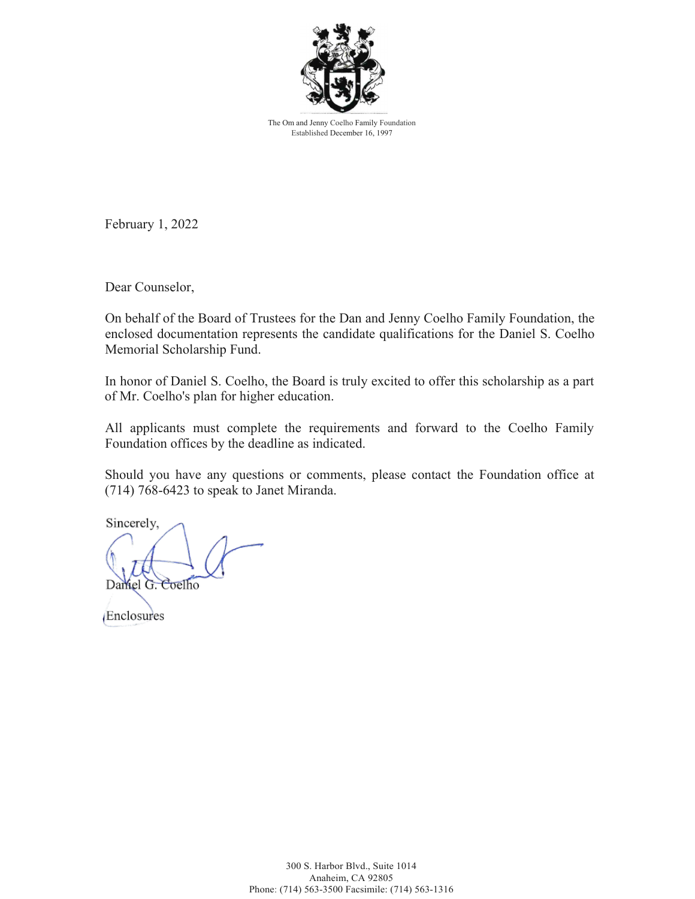

The Om and Jenny Coelho Family Foundation Established December 16, 1997

February 1, 2022

Dear Counselor,

On behalf of the Board of Trustees for the Dan and Jenny Coelho Family Foundation, the enclosed documentation represents the candidate qualifications for the Daniel S. Coelho Memorial Scholarship Fund.

In honor of Daniel S. Coelho, the Board is truly excited to offer this scholarship as a part of Mr. Coelho's plan for higher education.

All applicants must complete the requirements and forward to the Coelho Family Foundation offices by the deadline as indicated.

Should you have any questions or comments, please contact the Foundation office at (714) 768-6423 to speak to Janet Miranda.

Sincerely, Damel G. Coelho

Enclosures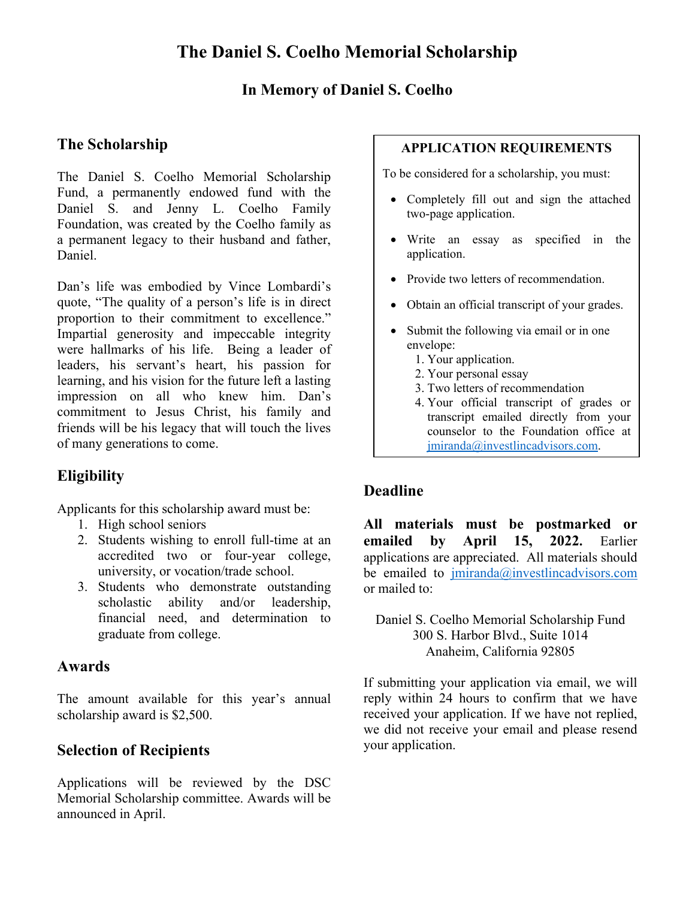### **In Memory of Daniel S. Coelho**

## **The Scholarship**

The Daniel S. Coelho Memorial Scholarship Fund, a permanently endowed fund with the Daniel S. and Jenny L. Coelho Family Foundation, was created by the Coelho family as a permanent legacy to their husband and father, Daniel.

Dan's life was embodied by Vince Lombardi's quote, "The quality of a person's life is in direct proportion to their commitment to excellence." Impartial generosity and impeccable integrity were hallmarks of his life. Being a leader of leaders, his servant's heart, his passion for learning, and his vision for the future left a lasting impression on all who knew him. Dan's commitment to Jesus Christ, his family and friends will be his legacy that will touch the lives of many generations to come.

## **Eligibility**

Applicants for this scholarship award must be:

- 1. High school seniors
- 2. Students wishing to enroll full-time at an accredited two or four-year college, university, or vocation/trade school.
- 3. Students who demonstrate outstanding scholastic ability and/or leadership, financial need, and determination to graduate from college.

### **Awards**

The amount available for this year's annual scholarship award is \$2,500.

### **Selection of Recipients**

Applications will be reviewed by the DSC Memorial Scholarship committee. Awards will be announced in April.

#### **APPLICATION REQUIREMENTS**

To be considered for a scholarship, you must:

- Completely fill out and sign the attached two-page application.
- Write an essay as specified in the application.
- Provide two letters of recommendation.
- Obtain an official transcript of your grades.
- Submit the following via email or in one envelope:
	- 1. Your application.
	- 2. Your personal essay
	- 3. Two letters of recommendation
	- 4. Your official transcript of grades or transcript emailed directly from your counselor to the Foundation office at [jmiranda@investlincadvisors.com.](mailto:jmiranda@investlincadvisors.com)

### **Deadline**

**All materials must be postmarked or emailed by April 15, 2022.** Earlier applications are appreciated. All materials should be emailed to  $jminrada(\hat{a})$  investlincadvisors.com or mailed to:

Daniel S. Coelho Memorial Scholarship Fund 300 S. Harbor Blvd., Suite 1014 Anaheim, California 92805

If submitting your application via email, we will reply within 24 hours to confirm that we have received your application. If we have not replied, we did not receive your email and please resend your application.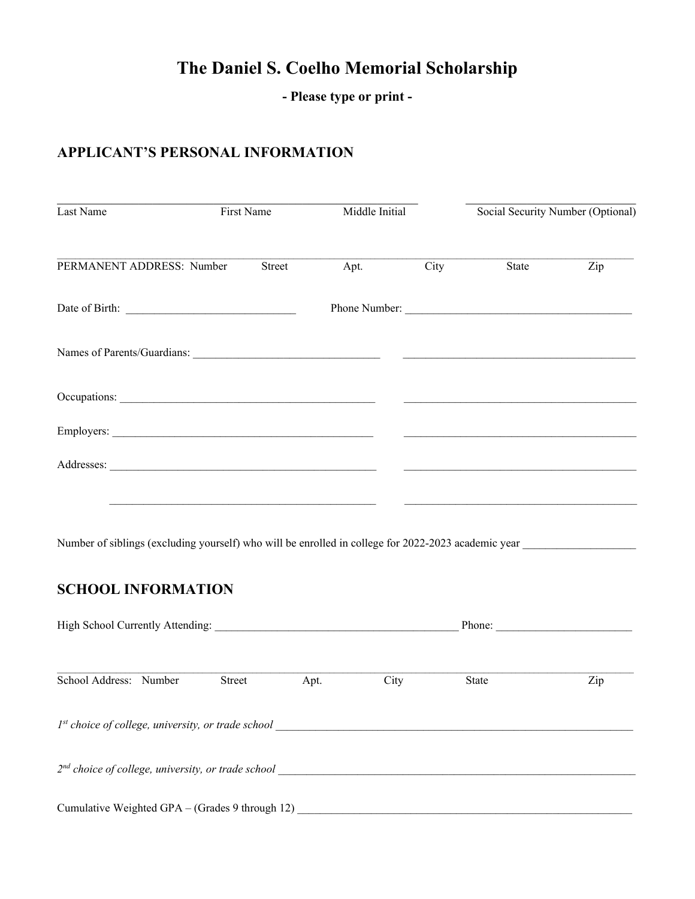# **The Daniel S. Coelho Memorial Scholarship**

**- Please type or print -**

### **APPLICANT'S PERSONAL INFORMATION**

| Last Name                 | First Name | Middle Initial |      | Social Security Number (Optional)                                 |     |
|---------------------------|------------|----------------|------|-------------------------------------------------------------------|-----|
| PERMANENT ADDRESS: Number | Street     | Apt.           | City | State                                                             | Zip |
|                           |            |                |      | Phone Number:                                                     |     |
|                           |            |                |      | <u> 1950 - Johann John Stone, market eta ingilaria (h. 1905).</u> |     |
|                           |            |                |      |                                                                   |     |
|                           |            |                |      |                                                                   |     |
|                           |            |                |      |                                                                   |     |
|                           |            |                |      |                                                                   |     |

Number of siblings (excluding yourself) who will be enrolled in college for 2022-2023 academic year

### **SCHOOL INFORMATION**

| High School Currently Attending:                     |        | Phone: |      |              |     |  |  |  |  |
|------------------------------------------------------|--------|--------|------|--------------|-----|--|--|--|--|
| School Address: Number                               | Street | Apt.   | City | <b>State</b> | Zip |  |  |  |  |
| $1st$ choice of college, university, or trade school |        |        |      |              |     |  |  |  |  |
| $2nd$ choice of college, university, or trade school |        |        |      |              |     |  |  |  |  |
| Cumulative Weighted GPA – (Grades 9 through 12)      |        |        |      |              |     |  |  |  |  |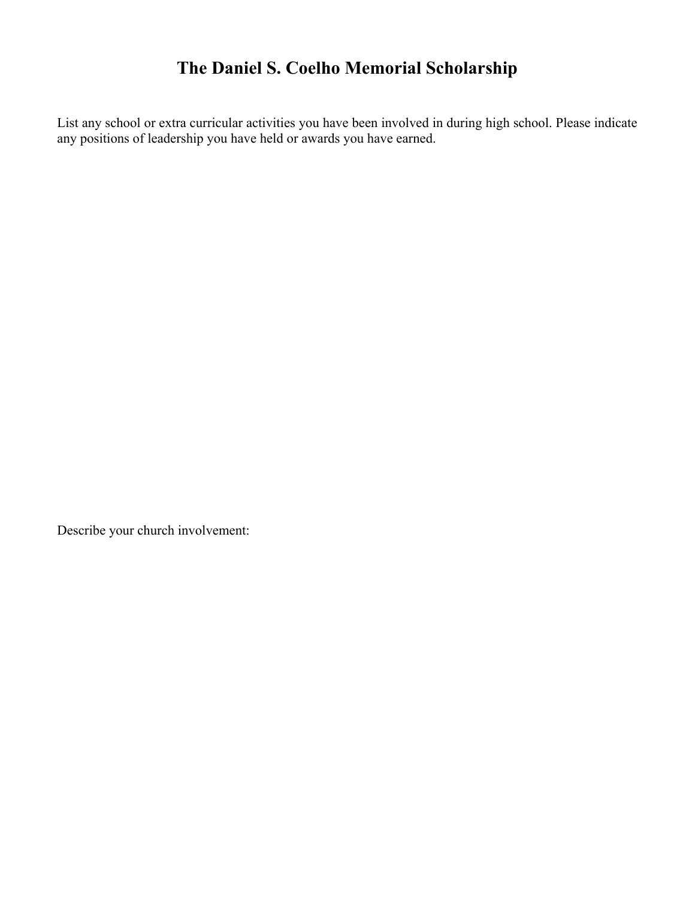# **The Daniel S. Coelho Memorial Scholarship**

List any school or extra curricular activities you have been involved in during high school. Please indicate any positions of leadership you have held or awards you have earned.

Describe your church involvement: